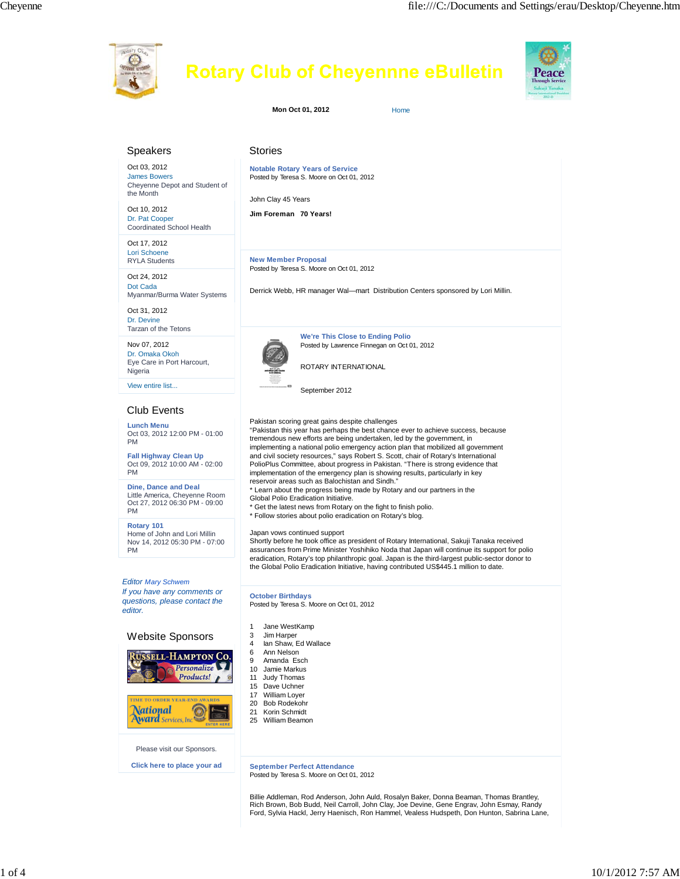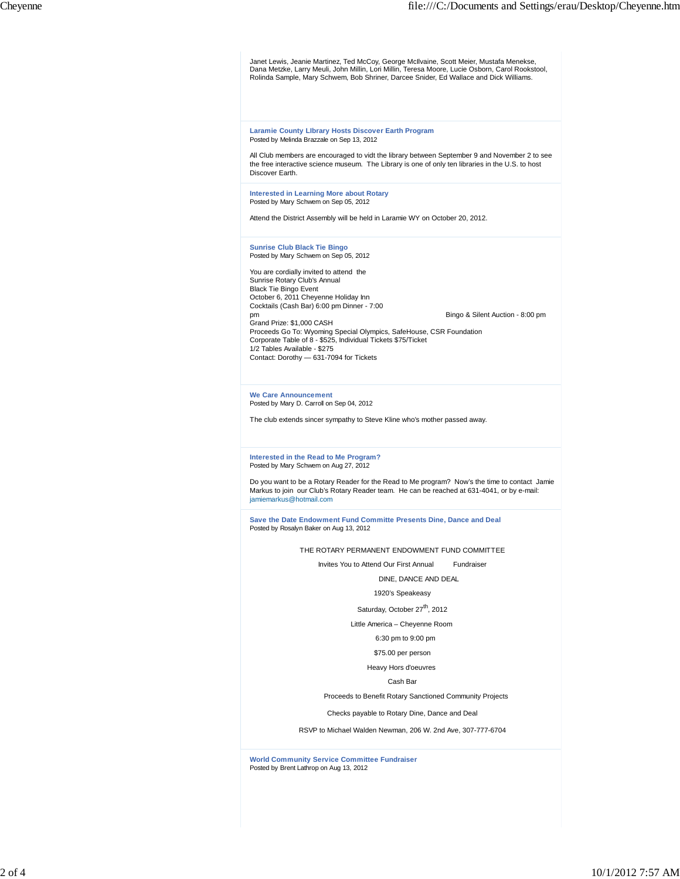Janet Lewis, Jeanie Martinez, Ted McCoy, George McIlvaine, Scott Meier, Mustafa Menekse,<br>Dana Metzke, Larry Meuli, John Millin, Lori Millin, Teresa Moore, Lucie Osborn, Carol Rookstool,<br>Rolinda Sample, Mary Schwem, Bob Shr

#### **Laramie County LIbrary Hosts Discover Earth Program** Posted by Melinda Brazzale on Sep 13, 2012

All Club members are encouraged to vidt the library between September 9 and November 2 to see the free interactive science museum. The Library is one of only ten libraries in the U.S. to host Discover Earth.

#### **Interested in Learning More about Rotary** Posted by Mary Schwem on Sep 05, 2012

Attend the District Assembly will be held in Laramie WY on October 20, 2012.

## **Sunrise Club Black Tie Bingo** Posted by Mary Schwem on Sep 05, 2012

You are cordially invited to attend the Sunrise Rotary Club's Annual Black Tie Bingo Event October 6, 2011 Cheyenne Holiday Inn Cocktails (Cash Bar) 6:00 pm Dinner - 7:00 pm Bingo & Silent Auction - 8:00 pm Grand Prize: \$1,000 CASH Proceeds Go To: Wyoming Special Olympics, SafeHouse, CSR Foundation Corporate Table of 8 - \$525, Individual Tickets \$75/Ticket 1/2 Tables Available - \$275 Contact: Dorothy — 631-7094 for Tickets

**We Care Announcement** Posted by Mary D. Carroll on Sep 04, 2012

The club extends sincer sympathy to Steve Kline who's mother passed away.

## **Interested in the Read to Me Program?** Posted by Mary Schwem on Aug 27, 2012

Do you want to be a Rotary Reader for the Read to Me program? Now's the time to contact Jamie Markus to join our Club's Rotary Reader team. He can be reached at 631-4041, or by e-mail: jamiemarkus@hotmail.com

**Save the Date Endowment Fund Committe Presents Dine, Dance and Deal** Posted by Rosalyn Baker on Aug 13, 2012

THE ROTARY PERMANENT ENDOWMENT FUND COMMITTEE

Invites You to Attend Our First Annual Fundraiser

DINE, DANCE AND DEAL

# 1920's Speakeasy

Saturday, October 27<sup>th</sup>, 2012

Little America – Cheyenne Room

# 6:30 pm to 9:00 pm

\$75.00 per person

Heavy Hors d'oeuvres

Cash Bar

Proceeds to Benefit Rotary Sanctioned Community Projects

Checks payable to Rotary Dine, Dance and Deal

RSVP to Michael Walden Newman, 206 W. 2nd Ave, 307-777-6704

**World Community Service Committee Fundraiser** Posted by Brent Lathrop on Aug 13, 2012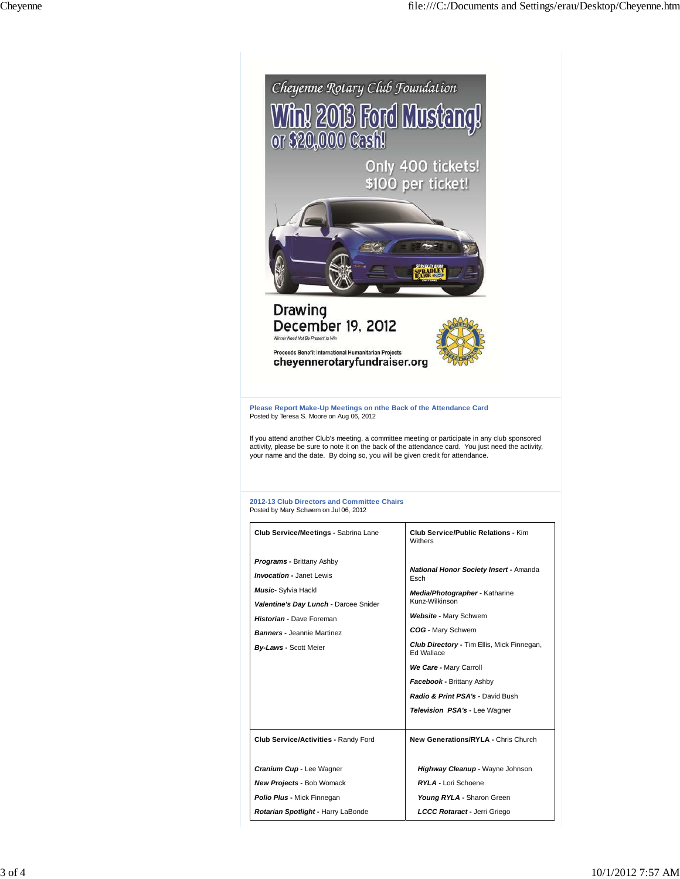